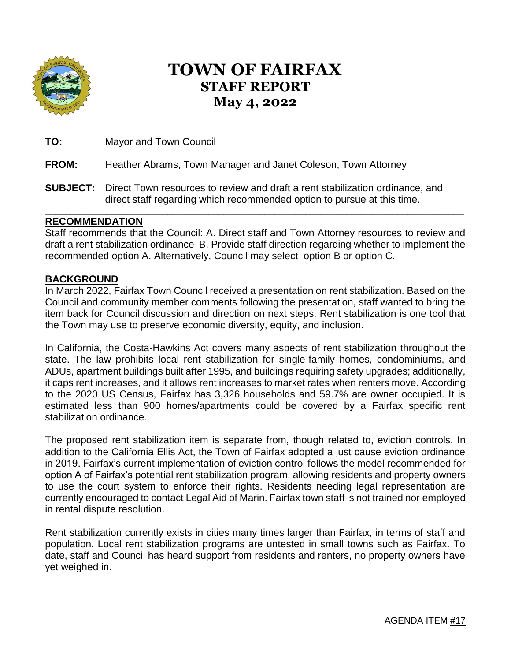

# **TOWN OF FAIRFAX STAFF REPORT May 4, 2022**

**TO:** Mayor and Town Council

#### **FROM:** Heather Abrams, Town Manager and Janet Coleson, Town Attorney

**SUBJECT:** Direct Town resources to review and draft a rent stabilization ordinance, and direct staff regarding which recommended option to pursue at this time.

#### **RECOMMENDATION**

Staff recommends that the Council: A. Direct staff and Town Attorney resources to review and draft a rent stabilization ordinance B. Provide staff direction regarding whether to implement the recommended option A. Alternatively, Council may select option B or option C.

**\_\_\_\_\_\_\_\_\_\_\_\_\_\_\_\_\_\_\_\_\_\_\_\_\_\_\_\_\_\_\_\_\_\_\_\_\_\_\_\_\_\_\_\_\_\_\_\_\_\_\_\_\_\_\_\_\_\_\_\_\_\_\_\_\_\_\_\_\_\_\_\_\_\_\_\_\_\_\_\_\_\_**

#### **BACKGROUND**

In March 2022, Fairfax Town Council received a presentation on rent stabilization. Based on the Council and community member comments following the presentation, staff wanted to bring the item back for Council discussion and direction on next steps. Rent stabilization is one tool that the Town may use to preserve economic diversity, equity, and inclusion.

In California, the Costa-Hawkins Act covers many aspects of rent stabilization throughout the state. The law prohibits local rent stabilization for single-family homes, condominiums, and ADUs, apartment buildings built after 1995, and buildings requiring safety upgrades; additionally, it caps rent increases, and it allows rent increases to market rates when renters move. According to the 2020 US Census, Fairfax has 3,326 households and 59.7% are owner occupied. It is estimated less than 900 homes/apartments could be covered by a Fairfax specific rent stabilization ordinance.

The proposed rent stabilization item is separate from, though related to, eviction controls. In addition to the California Ellis Act, the Town of Fairfax adopted a just cause eviction ordinance in 2019. Fairfax's current implementation of eviction control follows the model recommended for option A of Fairfax's potential rent stabilization program, allowing residents and property owners to use the court system to enforce their rights. Residents needing legal representation are currently encouraged to contact Legal Aid of Marin. Fairfax town staff is not trained nor employed in rental dispute resolution.

Rent stabilization currently exists in cities many times larger than Fairfax, in terms of staff and population. Local rent stabilization programs are untested in small towns such as Fairfax. To date, staff and Council has heard support from residents and renters, no property owners have yet weighed in.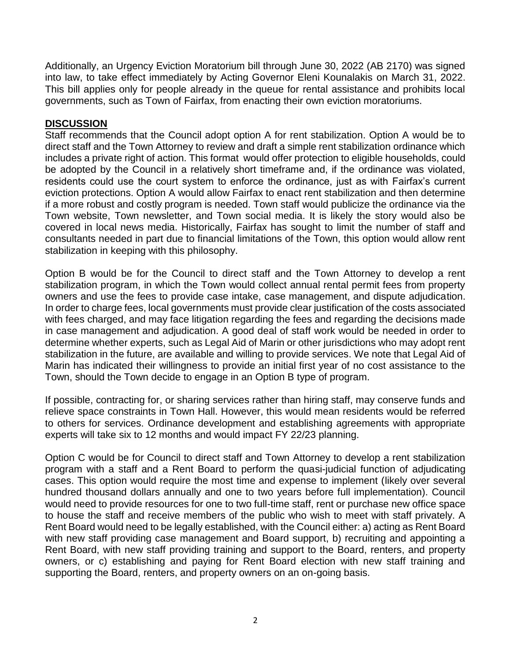Additionally, an Urgency Eviction Moratorium bill through June 30, 2022 (AB 2170) was signed into law, to take effect immediately by Acting Governor Eleni Kounalakis on March 31, 2022. This bill applies only for people already in the queue for rental assistance and prohibits local governments, such as Town of Fairfax, from enacting their own eviction moratoriums.

## **DISCUSSION**

Staff recommends that the Council adopt option A for rent stabilization. Option A would be to direct staff and the Town Attorney to review and draft a simple rent stabilization ordinance which includes a private right of action. This format would offer protection to eligible households, could be adopted by the Council in a relatively short timeframe and, if the ordinance was violated, residents could use the court system to enforce the ordinance, just as with Fairfax's current eviction protections. Option A would allow Fairfax to enact rent stabilization and then determine if a more robust and costly program is needed. Town staff would publicize the ordinance via the Town website, Town newsletter, and Town social media. It is likely the story would also be covered in local news media. Historically, Fairfax has sought to limit the number of staff and consultants needed in part due to financial limitations of the Town, this option would allow rent stabilization in keeping with this philosophy.

Option B would be for the Council to direct staff and the Town Attorney to develop a rent stabilization program, in which the Town would collect annual rental permit fees from property owners and use the fees to provide case intake, case management, and dispute adjudication. In order to charge fees, local governments must provide clear justification of the costs associated with fees charged, and may face litigation regarding the fees and regarding the decisions made in case management and adjudication. A good deal of staff work would be needed in order to determine whether experts, such as Legal Aid of Marin or other jurisdictions who may adopt rent stabilization in the future, are available and willing to provide services. We note that Legal Aid of Marin has indicated their willingness to provide an initial first year of no cost assistance to the Town, should the Town decide to engage in an Option B type of program.

If possible, contracting for, or sharing services rather than hiring staff, may conserve funds and relieve space constraints in Town Hall. However, this would mean residents would be referred to others for services. Ordinance development and establishing agreements with appropriate experts will take six to 12 months and would impact FY 22/23 planning.

Option C would be for Council to direct staff and Town Attorney to develop a rent stabilization program with a staff and a Rent Board to perform the quasi-judicial function of adjudicating cases. This option would require the most time and expense to implement (likely over several hundred thousand dollars annually and one to two years before full implementation). Council would need to provide resources for one to two full-time staff, rent or purchase new office space to house the staff and receive members of the public who wish to meet with staff privately. A Rent Board would need to be legally established, with the Council either: a) acting as Rent Board with new staff providing case management and Board support, b) recruiting and appointing a Rent Board, with new staff providing training and support to the Board, renters, and property owners, or c) establishing and paying for Rent Board election with new staff training and supporting the Board, renters, and property owners on an on-going basis.